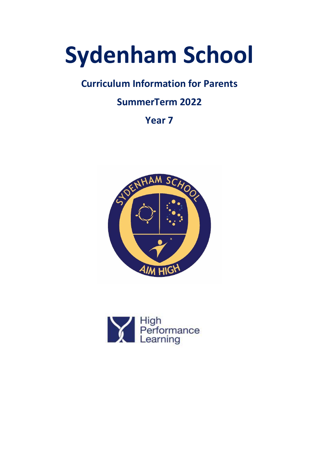# **Sydenham School**

## **Curriculum Information for Parents**

## **SummerTerm 2022**

**Year 7**



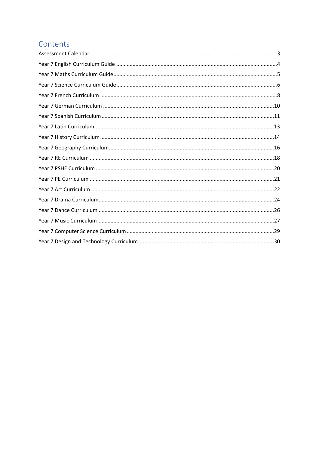## Contents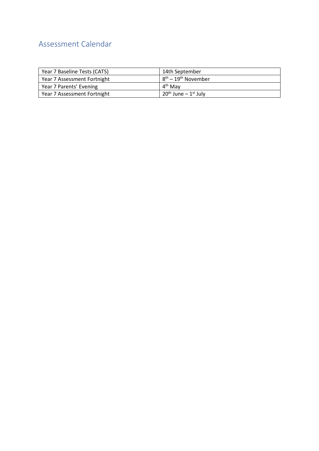## <span id="page-2-0"></span>Assessment Calendar

| Year 7 Baseline Tests (CATS) | 14th September             |
|------------------------------|----------------------------|
| Year 7 Assessment Fortnight  | $8th - 19th$ November      |
| Year 7 Parents' Evening      | 4 <sup>th</sup> May        |
| Year 7 Assessment Fortnight  | $120^{th}$ June – 1st July |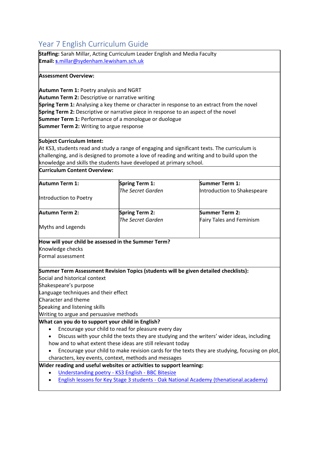## <span id="page-3-0"></span>Year 7 English Curriculum Guide

**Staffing:** Sarah Millar, Acting Curriculum Leader English and Media Faculty **Email: s**[.millar@sydenham.lewisham.sch.uk](mailto:s.millar@sydenham.lewisham.sch.uk)

#### **Assessment Overview:**

**Autumn Term 1:** Poetry analysis and NGRT **Autumn Term 2:** Descriptive or narrative writing **Spring Term 1:** Analysing a key theme or character in response to an extract from the novel **Spring Term 2:** Descriptive or narrative piece in response to an aspect of the novel **Summer Term 1:** Performance of a monologue or duologue **Summer Term 2:** Writing to argue response

#### **Subject Curriculum Intent:**

At KS3, students read and study a range of engaging and significant texts. The curriculum is challenging, and is designed to promote a love of reading and writing and to build upon the knowledge and skills the students have developed at primary school.

**Curriculum Content Overview:**

| Autumn Term 1:                                    | Spring Term 1:                                                                       | Summer Term 1:                                                                                 |
|---------------------------------------------------|--------------------------------------------------------------------------------------|------------------------------------------------------------------------------------------------|
|                                                   | <b>The Secret Garden</b>                                                             | Introduction to Shakespeare                                                                    |
| Introduction to Poetry                            |                                                                                      |                                                                                                |
|                                                   |                                                                                      |                                                                                                |
| <b>Autumn Term 2:</b>                             | <b>Spring Term 2:</b>                                                                | <b>Summer Term 2:</b>                                                                          |
|                                                   | <b>The Secret Garden</b>                                                             | Fairy Tales and Feminism                                                                       |
| Myths and Legends                                 |                                                                                      |                                                                                                |
|                                                   | How will your child be assessed in the Summer Term?                                  |                                                                                                |
| Knowledge checks                                  |                                                                                      |                                                                                                |
| Formal assessment                                 |                                                                                      |                                                                                                |
|                                                   |                                                                                      |                                                                                                |
|                                                   | Summer Term Assessment Revision Topics (students will be given detailed checklists): |                                                                                                |
| Social and historical context                     |                                                                                      |                                                                                                |
| Shakespeare's purpose                             |                                                                                      |                                                                                                |
| Language techniques and their effect              |                                                                                      |                                                                                                |
| Character and theme                               |                                                                                      |                                                                                                |
| Speaking and listening skills                     |                                                                                      |                                                                                                |
| Writing to argue and persuasive methods           |                                                                                      |                                                                                                |
| What can you do to support your child in English? |                                                                                      |                                                                                                |
|                                                   | Encourage your child to read for pleasure every day                                  |                                                                                                |
|                                                   |                                                                                      | Discuss with your child the texts they are studying and the writers' wider ideas, including    |
|                                                   | how and to what extent these ideas are still relevant today                          |                                                                                                |
|                                                   |                                                                                      | Encourage your child to make revision cards for the texts they are studying, focusing on plot, |
|                                                   | characters, key events, context, methods and messages                                |                                                                                                |
|                                                   | Wider reading and useful websites or activities to support learning:                 |                                                                                                |
|                                                   | Understanding poetry - KS3 English - BBC Bitesize                                    |                                                                                                |
|                                                   |                                                                                      | English lessons for Key Stage 3 students - Oak National Academy (thenational.academy)          |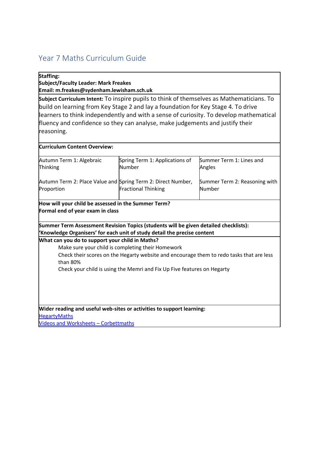## <span id="page-4-0"></span>Year 7 Maths Curriculum Guide

#### **Staffing:**

**Subject/Faculty Leader: Mark Freakes Email: m.freakes@sydenham.lewisham.sch.uk**

**Subject Curriculum Intent:** To inspire pupils to think of themselves as Mathematicians. To build on learning from Key Stage 2 and lay a foundation for Key Stage 4. To drive learners to think independently and with a sense of curiosity. To develop mathematical fluency and confidence so they can analyse, make judgements and justify their reasoning.

| <b>Curriculum Content Overview:</b>                                                                                                                             |                                                                                                                                                                                                                          |                                         |
|-----------------------------------------------------------------------------------------------------------------------------------------------------------------|--------------------------------------------------------------------------------------------------------------------------------------------------------------------------------------------------------------------------|-----------------------------------------|
| Autumn Term 1: Algebraic<br>Thinking                                                                                                                            | Spring Term 1: Applications of<br>Number                                                                                                                                                                                 | Summer Term 1: Lines and<br>Angles      |
| Autumn Term 2: Place Value and Spring Term 2: Direct Number,<br>Proportion                                                                                      | <b>Fractional Thinking</b>                                                                                                                                                                                               | Summer Term 2: Reasoning with<br>Number |
| How will your child be assessed in the Summer Term?<br>Formal end of year exam in class                                                                         |                                                                                                                                                                                                                          |                                         |
| Summer Term Assessment Revision Topics (students will be given detailed checklists):<br>Knowledge Organisers' for each unit of study detail the precise content |                                                                                                                                                                                                                          |                                         |
| What can you do to support your child in Maths?<br>than 80%                                                                                                     | Make sure your child is completing their Homework<br>Check their scores on the Hegarty website and encourage them to redo tasks that are less<br>Check your child is using the Memri and Fix Up Five features on Hegarty |                                         |
| Wider reading and useful web-sites or activities to support learning:<br><b>HegartyMaths</b>                                                                    |                                                                                                                                                                                                                          |                                         |
| <b>Videos and Worksheets - Corbettmaths</b>                                                                                                                     |                                                                                                                                                                                                                          |                                         |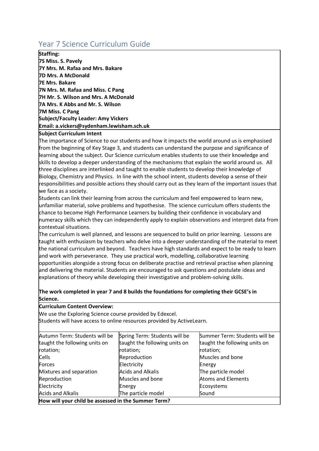## <span id="page-5-0"></span>Year 7 Science Curriculum Guide

**Staffing:**

**7S Miss. S. Pavely 7Y Mrs. M. Rafaa and Mrs. Bakare 7D Mrs. A McDonald 7E Mrs. Bakare 7N Mrs. M. Rafaa and Miss. C Pang 7H Mr. S. Wilson and Mrs. A McDonald 7A Mrs. K Abbs and Mr. S. Wilson 7M Miss. C Pang Subject/Faculty Leader: Amy Vickers  Email: a.vickers@sydenham.lewisham.sch.uk**

#### **Subject Curriculum Intent**

The importance of Science to our students and how it impacts the world around us is emphasised from the beginning of Key Stage 3, and students can understand the purpose and significance of learning about the subject. Our Science curriculum enables students to use their knowledge and skills to develop a deeper understanding of the mechanisms that explain the world around us. All three disciplines are interlinked and taught to enable students to develop their knowledge of Biology, Chemistry and Physics. In line with the school intent, students develop a sense of their responsibilities and possible actions they should carry out as they learn of the important issues that we face as a society.

Students can link their learning from across the curriculum and feel empowered to learn new, unfamiliar material, solve problems and hypothesise. The science curriculum offers students the chance to become High Performance Learners by building their confidence in vocabulary and numeracy skills which they can independently apply to explain observations and interpret data from contextual situations.

The curriculum is well planned, and lessons are sequenced to build on prior learning. Lessons are taught with enthusiasm by teachers who delve into a deeper understanding of the material to meet the national curriculum and beyond. Teachers have high standards and expect to be ready to learn and work with perseverance. They use practical work, modelling, collaborative learning opportunities alongside a strong focus on deliberate practise and retrieval practise when planning and delivering the material. Students are encouraged to ask questions and postulate ideas and explanations of theory while developing their investigative and problem-solving skills.

#### **The work completed in year 7 and 8 builds the foundations for completing their GCSE's in Science.**

#### **Curriculum Content Overview:**

We use the Exploring Science course provided by Edexcel. 

Students will have access to online resources provided by ActiveLearn. 

| Autumn Term: Students will be<br>taught the following units on | Spring Term: Students will be<br>taught the following units on | taught the following units on |
|----------------------------------------------------------------|----------------------------------------------------------------|-------------------------------|
| rotation;                                                      | rotation;                                                      | rotation;                     |
| <b>Cells</b>                                                   | Reproduction                                                   | Muscles and bone              |
| Forces                                                         | Electricity                                                    | Energy                        |
| Mixtures and separation                                        | <b>Acids and Alkalis</b>                                       | The particle model            |
| Reproduction                                                   | Muscles and bone                                               | <b>Atoms and Elements</b>     |
| Electricity                                                    | Energy                                                         | Ecosystems                    |
| <b>Acids and Alkalis</b>                                       | The particle model                                             | Sound                         |
| How will your child be assessed in the Summer Term?            |                                                                |                               |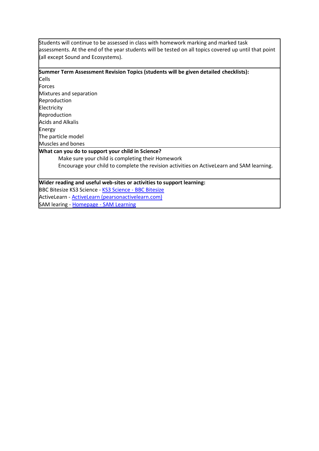Students will continue to be assessed in class with homework marking and marked task assessments. At the end of the year students will be tested on all topics covered up until that point (all except Sound and Ecosystems).

#### **Summer Term Assessment Revision Topics (students will be given detailed checklists):**

Cells Forces Mixtures and separation Reproduction Electricity Reproduction Acids and Alkalis Energy The particle model Muscles and bones

 $\overline{\phantom{a}}$ 

#### **What can you do to support your child in Science?**

Make sure your child is completing their Homework Encourage your child to complete the revision activities on ActiveLearn and SAM learning. 

#### **Wider reading and useful web-sites or activities to support learning:**

BBC Bitesize [KS3 Science -](https://www.bbc.co.uk/bitesize/subjects/zng4d2p) KS3 Science - BBC Bitesize ActiveLearn - [ActiveLearn \(pearsonactivelearn.com\)](https://www.pearsonactivelearn.com/app/Home)

SAM learing - Homepage - [SAM Learning](https://www.samlearning.com/)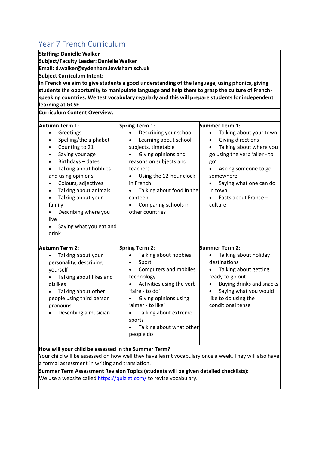<span id="page-7-0"></span>

| Year 7 French Curriculum                                                                                                                                |                                                                                                 |                                      |
|---------------------------------------------------------------------------------------------------------------------------------------------------------|-------------------------------------------------------------------------------------------------|--------------------------------------|
| <b>Staffing: Danielle Walker</b>                                                                                                                        |                                                                                                 |                                      |
| <b>Subject/Faculty Leader: Danielle Walker</b>                                                                                                          |                                                                                                 |                                      |
| Email: d.walker@sydenham.lewisham.sch.uk                                                                                                                |                                                                                                 |                                      |
| <b>Subject Curriculum Intent:</b>                                                                                                                       |                                                                                                 |                                      |
|                                                                                                                                                         | In French we aim to give students a good understanding of the language, using phonics, giving   |                                      |
|                                                                                                                                                         | students the opportunity to manipulate language and help them to grasp the culture of French-   |                                      |
|                                                                                                                                                         | speaking countries. We test vocabulary regularly and this will prepare students for independent |                                      |
| learning at GCSE                                                                                                                                        |                                                                                                 |                                      |
| <b>Curriculum Content Overview:</b>                                                                                                                     |                                                                                                 |                                      |
| Autumn Term 1:                                                                                                                                          | Spring Term 1:                                                                                  | Summer Term 1:                       |
| Greetings<br>$\bullet$                                                                                                                                  | Describing your school                                                                          | Talking about your town<br>$\bullet$ |
| Spelling/the alphabet<br>$\bullet$                                                                                                                      | Learning about school                                                                           | Giving directions<br>$\bullet$       |
| Counting to 21                                                                                                                                          | subjects, timetable                                                                             | Talking about where you              |
| Saying your age<br>٠                                                                                                                                    | Giving opinions and                                                                             | go using the verb 'aller - to        |
| Birthdays - dates<br>$\bullet$                                                                                                                          | reasons on subjects and                                                                         | go'                                  |
| Talking about hobbies                                                                                                                                   | teachers                                                                                        | Asking someone to go<br>$\bullet$    |
| and using opinions                                                                                                                                      | Using the 12-hour clock                                                                         | somewhere                            |
| Colours, adjectives                                                                                                                                     | in French                                                                                       | Saying what one can do               |
| Talking about animals                                                                                                                                   | Talking about food in the                                                                       | in town                              |
| Talking about your                                                                                                                                      | canteen                                                                                         | Facts about France -                 |
| family                                                                                                                                                  | Comparing schools in                                                                            | culture                              |
| Describing where you                                                                                                                                    | other countries                                                                                 |                                      |
| live                                                                                                                                                    |                                                                                                 |                                      |
| Saying what you eat and                                                                                                                                 |                                                                                                 |                                      |
| drink                                                                                                                                                   |                                                                                                 |                                      |
| Autumn Term 2:                                                                                                                                          | Spring Term 2:                                                                                  | <b>Summer Term 2:</b>                |
| Talking about your                                                                                                                                      | Talking about hobbies                                                                           | Talking about holiday                |
| personality, describing                                                                                                                                 | Sport                                                                                           | destinations                         |
| yourself                                                                                                                                                | Computers and mobiles,                                                                          | Talking about getting                |
| Talking about likes and<br>$\bullet$                                                                                                                    | technology                                                                                      | ready to go out                      |
| dislikes                                                                                                                                                | Activities using the verb                                                                       | Buying drinks and snacks             |
| Talking about other                                                                                                                                     | 'faire - to do'                                                                                 | Saying what you would                |
| people using third person                                                                                                                               | Giving opinions using                                                                           | like to do using the                 |
| pronouns                                                                                                                                                | 'aimer - to like'                                                                               | conditional tense                    |
| Describing a musician                                                                                                                                   | Talking about extreme                                                                           |                                      |
|                                                                                                                                                         | sports                                                                                          |                                      |
|                                                                                                                                                         | Talking about what other                                                                        |                                      |
|                                                                                                                                                         | people do                                                                                       |                                      |
|                                                                                                                                                         |                                                                                                 |                                      |
| How will your child be assessed in the Summer Term?                                                                                                     |                                                                                                 |                                      |
| Your child will be assessed on how well they have learnt vocabulary once a week. They will also have<br>a formal assessment in writing and translation. |                                                                                                 |                                      |
|                                                                                                                                                         | Summer Term Assessment Revision Topics (students will be given detailed checklists):            |                                      |
|                                                                                                                                                         |                                                                                                 |                                      |

We use a website called <u>https://quizlet.com/</u> to revise vocabulary.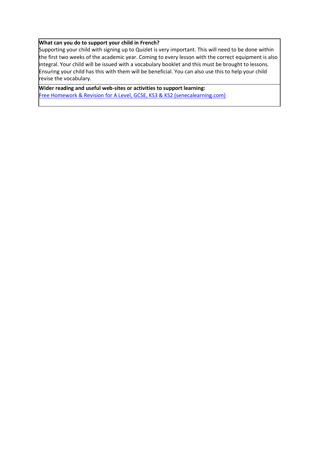#### **What can you do to support your child in French?**

Supporting your child with signing up to Quizlet is very important. This will need to be done within the first two weeks of the academic year. Coming to every lesson with the correct equipment is also integral. Your child will be issued with a vocabulary booklet and this must be brought to lessons. Ensuring your child has this with them will be beneficial. You can also use this to help your child revise the vocabulary.

**Wider reading and useful web-sites or activities to support learning:** [Free Homework & Revision for A Level, GCSE, KS3 & KS2 \(senecalearning.com\)](https://senecalearning.com/en-GB/)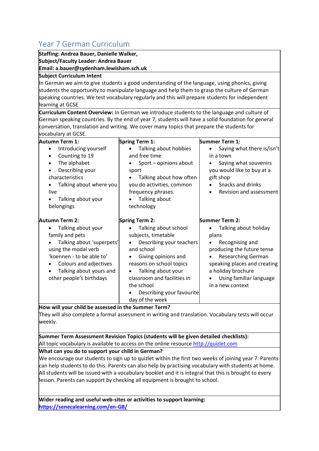## <span id="page-9-0"></span>Year 7 German Curriculum

**Staffing: Andrea Bauer, Danielle Walker, Subject/Faculty Leader: Andrea Bauer**

**Email: a.bauer@sydenham.lewisham.sch.uk**

#### **Subject Curriculum Intent**

In German we aim to give students a good understanding of the language, using phonics, giving students the opportunity to manipulate language and help them to grasp the culture of German speaking countries. We test vocabulary regularly and this will prepare students for independent learning at GCSE

**Curriculum Content Overview:** In German we introduce students to the language and culture of German speaking countries. By the end of year 7, students will have a solid foundation for general conversation, translation and writing. We cover many topics that prepare the students for vocabulary at GCSE.

| <b>Autumn Term 1:</b>                                                                                                                                                    | <b>Spring Term 1:</b>                                                                                                                                                                                                  | <b>Summer Term 1:</b>                                                                                                                                                           |
|--------------------------------------------------------------------------------------------------------------------------------------------------------------------------|------------------------------------------------------------------------------------------------------------------------------------------------------------------------------------------------------------------------|---------------------------------------------------------------------------------------------------------------------------------------------------------------------------------|
| Introducing yourself<br>Counting to 19<br>٠<br>The alphabet<br>Describing your<br>characteristics<br>Talking about where you<br>live<br>Talking about your<br>belongings | Talking about hobbies<br>and free time<br>Sport - opinions about<br>sport<br>Talking about how often<br>you do activities, common<br>frequency phrases.<br>Talking about<br>technology                                 | Saying what there is/isn't<br>in a town<br>Saying what souvenirs<br>you would like to buy at a<br>gift shop<br>Snacks and drinks<br>Revision and assessment<br>$\bullet$        |
| Autumn Term 2:<br>Talking about your<br>family and pets                                                                                                                  | Spring Term 2:<br>Talking about school<br>subjects, timetable                                                                                                                                                          | <b>Summer Term 2:</b><br>Talking about holiday<br>plans                                                                                                                         |
| Talking about 'superpets'<br>using the modal verb<br>'koennen - to be able to'<br>Colours and adjectives<br>Talking about yours and<br>other people's birthdays          | Describing your teachers<br>and school<br>Giving opinions and<br>٠<br>reasons on school topics<br>Talking about your<br>٠<br>classroom and facilities in<br>the school<br>Describing your favourite<br>day of the week | Recognising and<br>producing the future tense<br><b>Researching German</b><br>speaking places and creating<br>a holiday brochure<br>Using familiar language<br>in a new context |

**How will your child be assessed in the Summer Term?**

They will also complete a formal assessment in writing and translation. Vocabulary tests will occur weekly.

**Summer Term Assessment Revision Topics (students will be given detailed checklists):** All topic vocabulary is available to access on the online resource http://quizlet.com

#### **What can you do to support your child in German?**

We encourage our students to sign up to quizlet within the first two weeks of joining year 7. Parents can help students to do this. Parents can also help by practising vocabulary with students at home. All students will be issued with a vocabulary booklet and it is integral that this is brought to every lesson. Parents can support by checking all equipment is brought to school.

**Wider reading and useful web-sites or activities to support learning: <https://senecalearning.com/en-GB/>**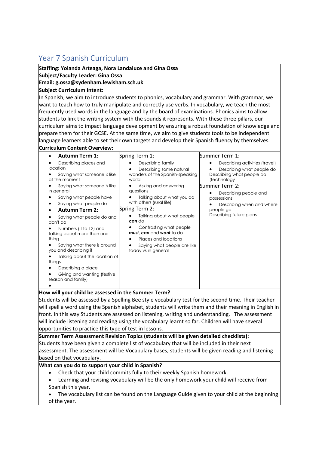## <span id="page-10-0"></span>Year 7 Spanish Curriculum

**Staffing: Yolanda Arteaga, Nora Landaluce and Gina Ossa Subject/Faculty Leader: Gina Ossa**

#### **Email: g.ossa@sydenham.lewisham.sch.uk**

#### **Subject Curriculum Intent:**

In Spanish, we aim to introduce students to phonics, vocabulary and grammar. With grammar, we want to teach how to truly manipulate and correctly use verbs. In vocabulary, we teach the most frequently used words in the language and by the board of examinations. Phonics aims to allow students to link the writing system with the sounds it represents. With these three pillars, our curriculum aims to impact language development by ensuring a robust foundation of knowledge and prepare them for their GCSE. At the same time, we aim to give students tools to be independent language learners able to set their own targets and develop their Spanish fluency by themselves.

| <b>Autumn Term 1:</b>                                                                                                                                                                                                                                                                                                                                                                                                                                                                              | Spring Term 1:                                                                                                                                                                                                                                                                                                                                                                       | Summer Term 1:                                                                                                                                                                                                                         |
|----------------------------------------------------------------------------------------------------------------------------------------------------------------------------------------------------------------------------------------------------------------------------------------------------------------------------------------------------------------------------------------------------------------------------------------------------------------------------------------------------|--------------------------------------------------------------------------------------------------------------------------------------------------------------------------------------------------------------------------------------------------------------------------------------------------------------------------------------------------------------------------------------|----------------------------------------------------------------------------------------------------------------------------------------------------------------------------------------------------------------------------------------|
| Describing places and<br>location<br>Saying what someone is like<br>at the moment<br>Saying what someone is like<br>in general<br>Saying what people have<br>Saying what people do<br><b>Autumn Term 2:</b><br>Saying what people do and<br>don't do<br>Numbers (1to 12) and<br>talking about more than one<br>thing<br>Saying what there is around<br>you and describing it<br>Talking about the location of<br>things<br>Describing a place<br>Giving and wanting (festive<br>season and family) | Describing family<br>Describing some natural<br>wonders of the Spanish-speaking<br>world<br>Asking and answering<br>questions<br>Talking about what you do<br>with others (rural life)<br>Spring Term 2:<br>Talking about what people<br>can do<br>Contrasting what people<br>must, can and want to do<br>Places and locations<br>Saying what people are like<br>today vs in general | Describing activities (travel)<br>Describing what people do<br>Describing what people do<br>(technology<br>Summer Term 2:<br>Describing people and<br>possessions<br>Describing when and where<br>people go<br>Describing future plans |

Students will be assessed by a Spelling Bee style vocabulary test for the second time. Their teacher will spell a word using the Spanish alphabet, students will write them and their meaning in English in front. In this way Students are assessed on listening, writing and understanding. The assessment will include listening and reading using the vocabulary learnt so far. Children will have several opportunities to practice this type of test in lessons.

**Summer Term Assessment Revision Topics (students will be given detailed checklists):** Students have been given a complete list of vocabulary that will be included in their next assessment. The assessment will be Vocabulary bases, students will be given reading and listening based on that vocabulary.

#### **What can you do to support your child in Spanish?**

- Check that your child commits fully to their weekly Spanish homework.
- Learning and revising vocabulary will be the only homework your child will receive from Spanish this year.
- The vocabulary list can be found on the Language Guide given to your child at the beginning of the year.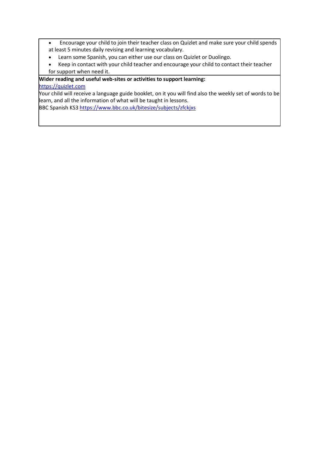- Encourage your child to join their teacher class on Quizlet and make sure your child spends at least 5 minutes daily revising and learning vocabulary.
- Learn some Spanish, you can either use our class on Quizlet or Duolingo.
- Keep in contact with your child teacher and encourage your child to contact their teacher for support when need it.

#### **Wider reading and useful web-sites or activities to support learning:** [https://quizlet.com](https://quizlet.com/)

Your child will receive a language guide booklet, on it you will find also the weekly set of words to be learn, and all the information of what will be taught in lessons.

BBC Spanish KS3<https://www.bbc.co.uk/bitesize/subjects/zfckjxs>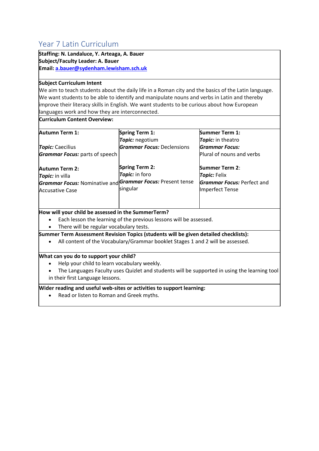## <span id="page-12-0"></span>Year 7 Latin Curriculum

**Staffing: N. Landaluce, Y. Arteaga, A. Bauer Subject/Faculty Leader: A. Bauer Email[: a.bauer@sydenham.lewisham.sch.uk](mailto:a.bauer@sydenham.lewisham.sch.uk)**

#### **Subject Curriculum Intent**

We aim to teach students about the daily life in a Roman city and the basics of the Latin language. We want students to be able to identify and manipulate nouns and verbs in Latin and thereby improve their literacy skills in English. We want students to be curious about how European languages work and how they are interconnected.

**Curriculum Content Overview:**

| <b>Autumn Term 1:</b>                                                                                                     | <b>Spring Term 1:</b>                               | <b>Summer Term 1:</b>                                                                                |
|---------------------------------------------------------------------------------------------------------------------------|-----------------------------------------------------|------------------------------------------------------------------------------------------------------|
|                                                                                                                           | Topic: negotium                                     | Topic: in theatro                                                                                    |
| <b>Topic:</b> Caecilius                                                                                                   | <b>Grammar Focus: Declensions</b>                   | <b>Grammar Focus:</b>                                                                                |
| Grammar Focus: parts of speech                                                                                            |                                                     | Plural of nouns and verbs                                                                            |
| <b>Autumn Term 2:</b><br>Topic: in villa<br>Grammar Focus: Nominative and Grammar Focus: Present tense<br>Accusative Case | <b>Spring Term 2:</b><br>Topic: in foro<br>singular | <b>Summer Term 2:</b><br>Topic: Felix<br><b>Grammar Focus: Perfect and</b><br><b>Imperfect Tense</b> |
|                                                                                                                           |                                                     |                                                                                                      |

#### **How will your child be assessed in the SummerTerm?**

Each lesson the learning of the previous lessons will be assessed.

• There will be regular vocabulary tests.

**Summer Term Assessment Revision Topics (students will be given detailed checklists):**

• All content of the Vocabulary/Grammar booklet Stages 1 and 2 will be assessed.

#### **What can you do to support your child?**

• Help your child to learn vocabulary weekly.

• The Languages Faculty uses Quizlet and students will be supported in using the learning tool in their first Language lessons.

#### **Wider reading and useful web-sites or activities to support learning:**

• Read or listen to Roman and Greek myths.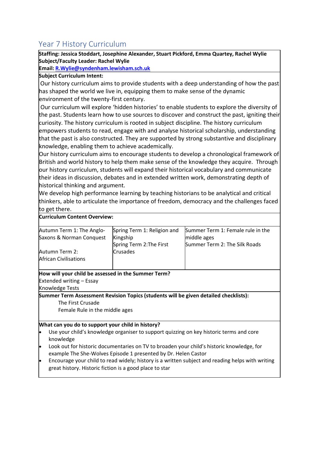## <span id="page-13-0"></span>Year 7 History Curriculum

**Staffing: Jessica Stoddart, Josephine Alexander, Stuart Pickford, Emma Quartey, Rachel Wylie Subject/Faculty Leader: Rachel Wylie**

**Email: [R.Wylie@syndenham.lewisham.sch.uk](mailto:R.Wylie@syndenham.lewisham.sch.uk)**

#### **Subject Curriculum Intent:**

Our history curriculum aims to provide students with a deep understanding of how the past has shaped the world we live in, equipping them to make sense of the dynamic environment of the twenty-first century.

Our curriculum will explore 'hidden histories' to enable students to explore the diversity of the past. Students learn how to use sources to discover and construct the past, igniting their curiosity. The history curriculum is rooted in subject discipline. The history curriculum empowers students to read, engage with and analyse historical scholarship, understanding that the past is also constructed. They are supported by strong substantive and disciplinary knowledge, enabling them to achieve academically.

Our history curriculum aims to encourage students to develop a chronological framework of British and world history to help them make sense of the knowledge they acquire. Through our history curriculum, students will expand their historical vocabulary and communicate their ideas in discussion, debates and in extended written work, demonstrating depth of historical thinking and argument.

We develop high performance learning by teaching historians to be analytical and critical thinkers, able to articulate the importance of freedom, democracy and the challenges faced to get there.

#### **Curriculum Content Overview:**

| Autumn Term 1: The Anglo-    | Spring Term 1: Religion and | Summer Term 1: Female rule in the |
|------------------------------|-----------------------------|-----------------------------------|
| Saxons & Norman Conquest     | Kingship                    | middle ages                       |
|                              | Spring Term 2: The First    | Summer Term 2: The Silk Roads     |
| Autumn Term 2:               | Crusades                    |                                   |
| <b>African Civilisations</b> |                             |                                   |
|                              |                             |                                   |

#### **How will your child be assessed in the Summer Term?**

Extended writing – Essay

Knowledge Tests

**Summer Term Assessment Revision Topics (students will be given detailed checklists):** The First Crusade

Female Rule in the middle ages

#### **What can you do to support your child in history?**

- Use your child's knowledge organiser to support quizzing on key historic terms and core knowledge
- Look out for historic documentaries on TV to broaden your child's historic knowledge, for example The She-Wolves Episode 1 presented by Dr. Helen Castor
- Encourage your child to read widely; history is a written subject and reading helps with writing great history. Historic fiction is a good place to star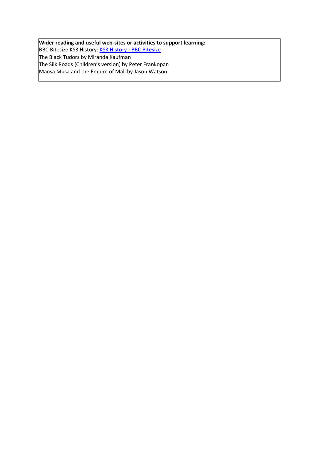**Wider reading and useful web-sites or activities to support learning:** BBC Bitesize KS3 History: [KS3 History -](https://www.bbc.co.uk/bitesize/subjects/zk26n39) BBC Bitesize The Black Tudors by Miranda Kaufman The Silk Roads (Children's version) by Peter Frankopan Mansa Musa and the Empire of Mali by Jason Watson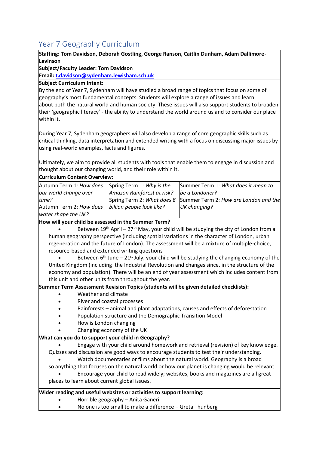## <span id="page-15-0"></span>Year 7 Geography Curriculum

#### **Staffing: Tom Davidson, Deborah Gostling, George Ranson, Caitlin Dunham, Adam Dallimore-Levinson**

**Subject/Faculty Leader: Tom Davidson**

**Email: [t.davidson@sydenham.lewisham.sch.uk](mailto:t.davidson@sydenham.lewisham.sch.uk)**

**Subject Curriculum Intent:**

By the end of Year 7, Sydenham will have studied a broad range of topics that focus on some of geography's most fundamental concepts. Students will explore a range of issues and learn about both the natural world and human society. These issues will also support students to broaden their 'geographic literacy' - the ability to understand the world around us and to consider our place within it.

During Year 7, Sydenham geographers will also develop a range of core geographic skills such as critical thinking, data interpretation and extended writing with a focus on discussing major issues by using real-world examples, facts and figures.

Ultimately, we aim to provide all students with tools that enable them to engage in discussion and thought about our changing world, and their role within it.

|  |  | <b>Curriculum Content Overview:</b> |
|--|--|-------------------------------------|
|--|--|-------------------------------------|

| Autumn Term 1: How does | Spring Term 1: Why is the  | Summer Term 1: What does it mean to                              |
|-------------------------|----------------------------|------------------------------------------------------------------|
| our world change over   | Amazon Rainforest at risk? | be a Londoner?                                                   |
| time?                   |                            | Spring Term 2: What does 8 Summer Term 2: How are London and the |
| Autumn Term 2: How does | billion people look like?  | UK changing?                                                     |
| water shape the UK?     |                            |                                                                  |

**How will your child be assessed in the Summer Term?**

Between  $19<sup>th</sup>$  April – 27<sup>th</sup> May, your child will be studying the city of London from a human geography perspective (including spatial variations in the character of London, urban regeneration and the future of London). The assessment will be a mixture of multiple-choice, resource-based and extended writing questions

Between  $6<sup>th</sup>$  June – 21<sup>st</sup> July, your child will be studying the changing economy of the United Kingdom (including the Industrial Revolution and changes since, in the structure of the economy and population). There will be an end of year assessment which includes content from this unit and other units from throughout the year.

**Summer Term Assessment Revision Topics (students will be given detailed checklists):**

- Weather and climate
- River and coastal processes
- Rainforests animal and plant adaptations, causes and effects of deforestation
- Population structure and the Demographic Transition Model
- How is London changing
- Changing economy of the UK

#### **What can you do to support your child in Geography?**

• Engage with your child around homework and retrieval (revision) of key knowledge. Quizzes and discussion are good ways to encourage students to test their understanding.

• Watch documentaries or films about the natural world. Geography is a broad

so anything that focuses on the natural world or how our planet is changing would be relevant. • Encourage your child to read widely; websites, books and magazines are all great

places to learn about current global issues.

#### **Wider reading and useful websites or activities to support learning:**

- Horrible geography Anita Ganeri
- No one is too small to make a difference Greta Thunberg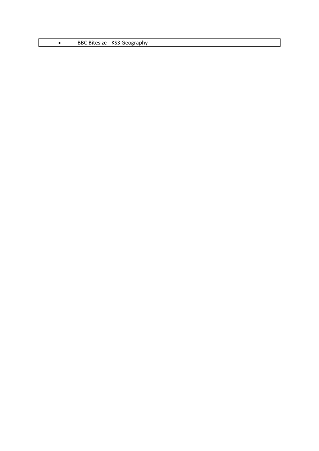|  | BBC Bitesize - KS3 Geography |
|--|------------------------------|
|--|------------------------------|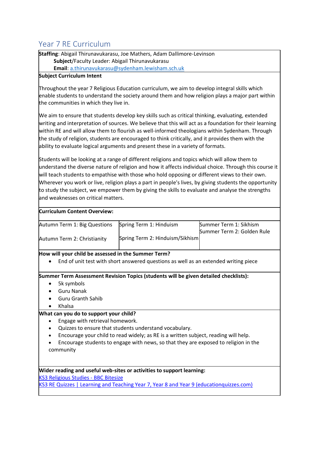## <span id="page-17-0"></span>Year 7 RE Curriculum

**Staffing**: Abigail Thirunavukarasu, Joe Mathers, Adam Dallimore-Levinson **Subject**/Faculty Leader: Abigail Thirunavukarasu **Email**[: a.thirunavukarasu@sydenham.lewisham.sch.uk](mailto:a.thirunavukarasu@sydenham.lewisham.sch.uk)

#### **Subject Curriculum Intent**

Throughout the year 7 Religious Education curriculum, we aim to develop integral skills which enable students to understand the society around them and how religion plays a major part within the communities in which they live in.

We aim to ensure that students develop key skills such as critical thinking, evaluating, extended writing and interpretation of sources. We believe that this will act as a foundation for their learning within RE and will allow them to flourish as well-informed theologians within Sydenham. Through the study of religion, students are encouraged to think critically, and it provides them with the ability to evaluate logical arguments and present these in a variety of formats.

Students will be looking at a range of different religions and topics which will allow them to understand the diverse nature of religion and how it affects individual choice. Through this course it will teach students to empathise with those who hold opposing or different views to their own. Wherever you work or live, religion plays a part in people's lives, by giving students the opportunity to study the subject, we empower them by giving the skills to evaluate and analyse the strengths and weaknesses on critical matters.

#### **Curriculum Content Overview:**

| Autumn Term 1: Big Questions | Spring Term 1: Hinduism         | Summer Term 1: Sikhism     |
|------------------------------|---------------------------------|----------------------------|
|                              |                                 | Summer Term 2: Golden Rule |
| Autumn Term 2: Christianity  | Spring Term 2: Hinduism/Sikhism |                            |
|                              |                                 |                            |

#### **How will your child be assessed in the Summer Term?**

• End of unit test with short answered questions as well as an extended writing piece

#### **Summer Term Assessment Revision Topics (students will be given detailed checklists):**

- 5k symbols
- Guru Nanak
- Guru Granth Sahib
- Khalsa

#### **What can you do to support your child?**

- Engage with retrieval homework.
- Quizzes to ensure that students understand vocabulary.
- Encourage your child to read widely; as RE is a written subject, reading will help.
- Encourage students to engage with news, so that they are exposed to religion in the community

#### **Wider reading and useful web-sites or activities to support learning:**

[KS3 Religious Studies -](https://www.bbc.co.uk/bitesize/subjects/zh3rkqt) BBC Bitesize

[KS3 RE Quizzes | Learning and Teaching Year 7, Year 8 and Year 9 \(educationquizzes.com\)](https://www.educationquizzes.com/ks3/religious-education/)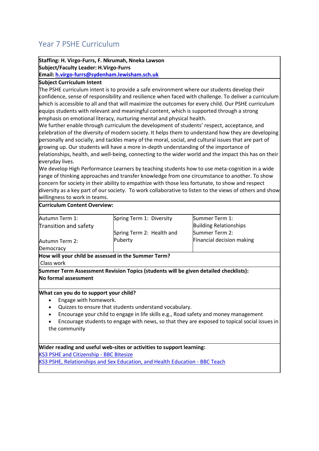## <span id="page-19-0"></span>Year 7 PSHE Curriculum

#### **Staffing: H. Virgo-Furrs, F. Nkrumah, Nneka Lawson Subject/Faculty Leader: H.Virgo-Furrs**

**Email[: h.virgo-furrs@sydenham.lewisham.sch.uk](mailto:h.virgo-furrs@sydenham.lewisham.sch.uk)**

**Subject Curriculum Intent**

The PSHE curriculum intent is to provide a safe environment where our students develop their confidence, sense of responsibility and resilience when faced with challenge. To deliver a curriculum which is accessible to all and that will maximize the outcomes for every child. Our PSHE curriculum equips students with relevant and meaningful content, which is supported through a strong emphasis on emotional literacy, nurturing mental and physical health.

We further enable through curriculum the development of students' respect, acceptance, and celebration of the diversity of modern society. It helps them to understand how they are developing personally and socially, and tackles many of the moral, social, and cultural issues that are part of growing up. Our students will have a more in-depth understanding of the importance of relationships, health, and well-being, connecting to the wider world and the impact this has on their everyday lives.

We develop High Performance Learners by teaching students how to use meta-cognition in a wide range of thinking approaches and transfer knowledge from one circumstance to another. To show concern for society in their ability to empathize with those less fortunate, to show and respect diversity as a key part of our society. To work collaborative to listen to the views of others and show willingness to work in teams.

#### **Curriculum Content Overview:**

| Autumn Term 1:        | Spring Term 1: Diversity  | Summer Term 1:                |
|-----------------------|---------------------------|-------------------------------|
| Transition and safety |                           | <b>Building Relationships</b> |
|                       | Spring Term 2: Health and | Summer Term 2:                |
| Autumn Term 2:        | Puberty                   | Financial decision making     |
| Democracy             |                           |                               |

**How will your child be assessed in the Summer Term?** Class work

**Summer Term Assessment Revision Topics (students will be given detailed checklists): No formal assessment**

#### **What can you do to support your child?**

- Engage with homework.
- Quizzes to ensure that students understand vocabulary.
- Encourage your child to engage in life skills e.g., Road safety and money management
- Encourage students to engage with news, so that they are exposed to topical social issues in the community

**Wider reading and useful web-sites or activities to support learning:**

[KS3 PSHE and Citizenship -](https://www.bbc.co.uk/bitesize/subjects/ztvg9j6) BBC Bitesize

[KS3 PSHE, Relationships and Sex Education, and Health](https://www.bbc.co.uk/teach/ks3-pshe-modern-studies/zdt3jhv) Education - BBC Teach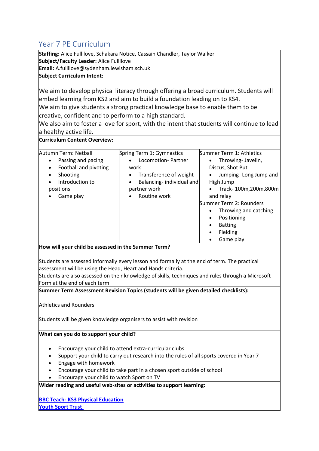## <span id="page-20-0"></span>Year 7 PE Curriculum

**Staffing:** Alice Fullilove, Schakara Notice, Cassain Chandler, Taylor Walker **Subject/Faculty Leader:** Alice Fullilove

**Email:** A.fullilove@sydenham.lewisham.sch.uk

#### **Subject Curriculum Intent:**

We aim to develop physical literacy through offering a broad curriculum. Students will embed learning from KS2 and aim to build a foundation leading on to KS4.

We aim to give students a strong practical knowledge base to enable them to be creative, confident and to perform to a high standard.

We also aim to foster a love for sport, with the intent that students will continue to lead a healthy active life.

| <b>Curriculum Content Overview:</b> |
|-------------------------------------|
|-------------------------------------|

| Autumn Term: Netball<br>Summer Term 1: Athletics<br>Spring Term 1: Gymnastics<br>Locomotion-Partner<br>Passing and pacing<br>Throwing-Javelin,<br>٠<br>٠<br>Football and pivoting<br>Discus, Shot Put<br>work<br>٠<br>Shooting<br>Transference of weight<br>Jumping-Long Jump and<br>٠<br>Balancing-individual and<br>Introduction to<br>High Jump<br>$\bullet$<br>positions<br>partner work<br>٠<br>Routine work<br>Game play<br>and relay<br>Summer Term 2: Rounders<br>Throwing and catching<br>Positioning<br>٠<br><b>Batting</b><br>Fielding |  |                                   |
|---------------------------------------------------------------------------------------------------------------------------------------------------------------------------------------------------------------------------------------------------------------------------------------------------------------------------------------------------------------------------------------------------------------------------------------------------------------------------------------------------------------------------------------------------|--|-----------------------------------|
|                                                                                                                                                                                                                                                                                                                                                                                                                                                                                                                                                   |  | Track-100m,200m,800m<br>Game play |

#### **How will your child be assessed in the Summer Term?**

Students are assessed informally every lesson and formally at the end of term. The practical assessment will be using the Head, Heart and Hands criteria.

Students are also assessed on their knowledge of skills, techniques and rules through a Microsoft Form at the end of each term.

**Summer Term Assessment Revision Topics (students will be given detailed checklists):**

Athletics and Rounders

Students will be given knowledge organisers to assist with revision

#### **What can you do to support your child?**

- Encourage your child to attend extra-curricular clubs
- Support your child to carry out research into the rules of all sports covered in Year 7
- Engage with homework
- Encourage your child to take part in a chosen sport outside of school
- Encourage your child to watch Sport on TV

**Wider reading and useful web-sites or activities to support learning:**

**BBC Teach- [KS3 Physical Education](https://www.bbc.co.uk/teach/ks3-physical-education/zrqp47h) [Youth Sport Trust](https://www.youthsporttrust.org/resources/coronavirus-support/secondary-ks3-pe-activities)**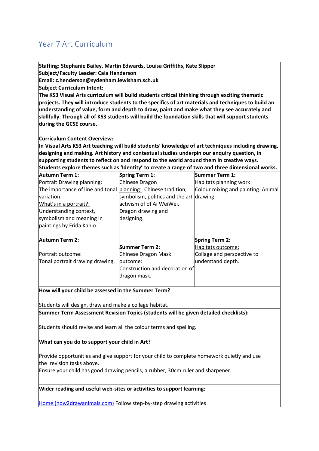## <span id="page-21-0"></span>Year 7 Art Curriculum

| Staffing: Stephanie Bailey, Martin Edwards, Louisa Griffiths, Kate Slipper                                                                                                                         |                                          |                                                                                                     |  |                                                                                                     |
|----------------------------------------------------------------------------------------------------------------------------------------------------------------------------------------------------|------------------------------------------|-----------------------------------------------------------------------------------------------------|--|-----------------------------------------------------------------------------------------------------|
| Subject/Faculty Leader: Caia Henderson                                                                                                                                                             |                                          |                                                                                                     |  |                                                                                                     |
| Email: c.henderson@sydenham.lewisham.sch.uk                                                                                                                                                        |                                          |                                                                                                     |  |                                                                                                     |
| <b>Subject Curriculum Intent:</b>                                                                                                                                                                  |                                          |                                                                                                     |  |                                                                                                     |
| The KS3 Visual Arts curriculum will build students critical thinking through exciting thematic                                                                                                     |                                          |                                                                                                     |  |                                                                                                     |
| projects. They will introduce students to the specifics of art materials and techniques to build an<br>understanding of value, form and depth to draw, paint and make what they see accurately and |                                          |                                                                                                     |  |                                                                                                     |
|                                                                                                                                                                                                    |                                          |                                                                                                     |  | skillfully. Through all of KS3 students will build the foundation skills that will support students |
| during the GCSE course.                                                                                                                                                                            |                                          |                                                                                                     |  |                                                                                                     |
| <b>Curriculum Content Overview:</b>                                                                                                                                                                |                                          |                                                                                                     |  |                                                                                                     |
|                                                                                                                                                                                                    |                                          | In Visual Arts KS3 Art teaching will build students' knowledge of art techniques including drawing, |  |                                                                                                     |
| designing and making. Art history and contextual studies underpin our enquiry question, in                                                                                                         |                                          |                                                                                                     |  |                                                                                                     |
| supporting students to reflect on and respond to the world around them in creative ways.                                                                                                           |                                          |                                                                                                     |  |                                                                                                     |
|                                                                                                                                                                                                    |                                          | Students explore themes such as 'Identity' to create a range of two and three dimensional works.    |  |                                                                                                     |
| Autumn Term 1:                                                                                                                                                                                     | Spring Term 1:                           | Summer Term 1:                                                                                      |  |                                                                                                     |
| Portrait Drawing planning:                                                                                                                                                                         | Chinese Dragon                           | Habitats planning work:                                                                             |  |                                                                                                     |
| The importance of line and tonal planning: Chinese tradition,                                                                                                                                      |                                          | Colour mixing and painting. Animal                                                                  |  |                                                                                                     |
| variation.                                                                                                                                                                                         | symbolism, politics and the art drawing. |                                                                                                     |  |                                                                                                     |
| What's in a portrait?:                                                                                                                                                                             | activism of of Ai WeiWei.                |                                                                                                     |  |                                                                                                     |
| Understanding context,                                                                                                                                                                             | Dragon drawing and                       |                                                                                                     |  |                                                                                                     |
| symbolism and meaning in                                                                                                                                                                           | designing.                               |                                                                                                     |  |                                                                                                     |
| paintings by Frida Kahlo.                                                                                                                                                                          |                                          |                                                                                                     |  |                                                                                                     |
| <b>Autumn Term 2:</b>                                                                                                                                                                              |                                          | <b>Spring Term 2:</b>                                                                               |  |                                                                                                     |
|                                                                                                                                                                                                    | Summer Term 2:                           | Habitats outcome:                                                                                   |  |                                                                                                     |
| Portrait outcome:                                                                                                                                                                                  | <b>Chinese Dragon Mask</b>               | Collage and perspective to                                                                          |  |                                                                                                     |
| Tonal portrait drawing drawing.                                                                                                                                                                    | outcome:                                 | understand depth.                                                                                   |  |                                                                                                     |
|                                                                                                                                                                                                    | Construction and decoration of           |                                                                                                     |  |                                                                                                     |
|                                                                                                                                                                                                    | dragon mask.                             |                                                                                                     |  |                                                                                                     |
| How will your child be assessed in the Summer Term?                                                                                                                                                |                                          |                                                                                                     |  |                                                                                                     |
| Students will design, draw and make a collage habitat.                                                                                                                                             |                                          |                                                                                                     |  |                                                                                                     |
| Summer Term Assessment Revision Topics (students will be given detailed checklists):                                                                                                               |                                          |                                                                                                     |  |                                                                                                     |
| Students should revise and learn all the colour terms and spelling.                                                                                                                                |                                          |                                                                                                     |  |                                                                                                     |

**What can you do to support your child in Art?**

Provide opportunities and give support for your child to complete homework quietly and use the revision tasks above.

Ensure your child has good drawing pencils, a rubber, 30cm ruler and sharpener.

**Wider reading and useful web-sites or activities to support learning:**

[Home \(how2drawanimals.com\)](https://how2drawanimals.com/) Follow step-by-step drawing activities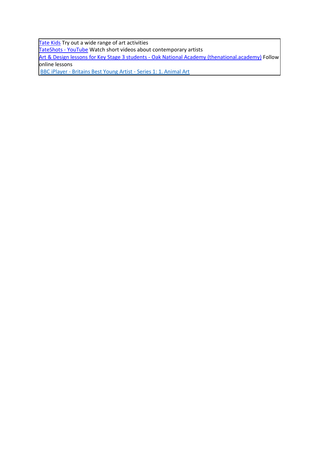[Tate Kids](https://www.tate.org.uk/kids) Try out a wide range of art activities

**[TateShots -](https://www.youtube.com/playlist?list=PL5uUen04IQNkFECI0L3r-7zGY9RBgIKw8) YouTube** Watch short videos about contemporary artists

[Art & Design lessons for Key Stage 3 students -](https://classroom.thenational.academy/subjects-by-key-stage/key-stage-3/subjects/art) Oak National Academy (thenational.academy) Follow online lessons

BBC iPlayer - [Britains Best Young Artist -](https://www.bbc.co.uk/iplayer/episode/m001497d/britains-best-young-artist-series-1-1-animal-art) Series 1: 1. Animal Art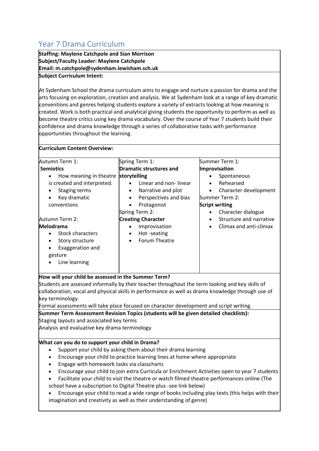## <span id="page-23-0"></span>Year 7 Drama Curriculum

**Staffing: Maylene Catchpole and Sian Morrison Subject/Faculty Leader: Maylene Catchpole Email: m.catchpole@sydenham.lewisham.sch.uk Subject Curriculum Intent:**

At Sydenham School the drama curriculum aims to engage and nurture a passion for drama and the arts focusing on exploration, creation and analysis. We at Sydenham look at a range of key dramatic conventions and genres helping students explore a variety of extracts looking at how meaning is created. Work is both practical and analytical giving students the opportunity to perform as well as become theatre critics using key drama vocabulary. Over the course of Year 7 students build their confidence and drama knowledge through a series of collaborative tasks with performance opportunities throughout the learning.

| Autumn Term 1:                                                                                                                                                                                                                                                                                                                                                            | Spring Term 1:                                                                                                                                                                                 | Summer Term 1:                                                                                                                                   |
|---------------------------------------------------------------------------------------------------------------------------------------------------------------------------------------------------------------------------------------------------------------------------------------------------------------------------------------------------------------------------|------------------------------------------------------------------------------------------------------------------------------------------------------------------------------------------------|--------------------------------------------------------------------------------------------------------------------------------------------------|
| <b>Semiotics</b><br>How meaning in theatre<br>is created and interpreted.<br><b>Staging terms</b><br>Key dramatic<br>$\bullet$<br>conventions                                                                                                                                                                                                                             | <b>Dramatic structures and</b><br>storytelling<br>Linear and non-linear<br>Narrative and plot<br>$\bullet$<br>Perspectives and bias<br>$\bullet$<br>Protagonist<br>$\bullet$<br>Spring Term 2: | Improvisation<br>Spontaneous<br>Rehearsed<br>$\bullet$<br>Character development<br>Summer Term 2:<br><b>Script writing</b><br>Character dialogue |
| Autumn Term 2:<br><b>Melodrama</b><br><b>Stock characters</b><br>Story structure<br>$\bullet$<br>Exaggeration and<br>gesture<br>Line learning                                                                                                                                                                                                                             | <b>Creating Character</b><br>Improvisation<br>$\bullet$<br>Hot-seating<br>$\bullet$<br>Forum Theatre<br>$\bullet$                                                                              | Structure and narrative<br>$\bullet$<br>Climax and anti-climax                                                                                   |
| How will your child be assessed in the Summer Term?<br>Students are assessed informally by their teacher throughout the term looking and key skills of<br>collaboration, vocal and physical skills in performance as well as drama knowledge through use of<br>key terminology.<br>Earmal accocomonte will take place focused on character development and cerint writing |                                                                                                                                                                                                |                                                                                                                                                  |

ormal assessments will take place focused on character development and script writing.

**Summer Term Assessment Revision Topics (students will be given detailed checklists):** Staging layouts and associated key terms

Analysis and evaluative key drama terminology

#### **What can you do to support your child in Drama?**

- Support your child by asking them about their drama learning
- Encourage your child to practice learning lines at home where appropriate
- Engage with homework tasks via classcharts
- Encourage your child to join extra Curricula or Enrichment Activities open to year 7 students
- Facilitate your child to visit the theatre or watch filmed theatre performances online (The school have a subscription to Digital Theatre plus -see link below)
- Encourage your child to read a wide range of books including play texts (this helps with their imagination and creativity as well as their understanding of genre)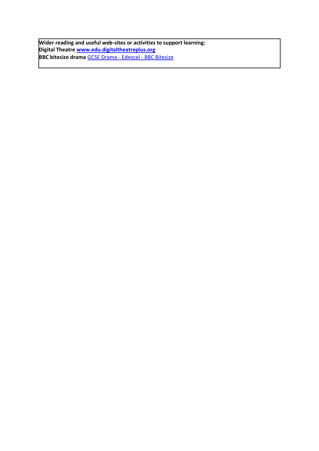**Wider reading and useful web-sites or activities to support learning: Digital Theatre [www.edu.digitaltheatreplus.org](http://www.edu.digitaltheatreplus.org/) BBC bitesize drama** [GCSE Drama -](https://www.bbc.co.uk/bitesize/examspecs/zkvm2sg) Edexcel - BBC Bitesize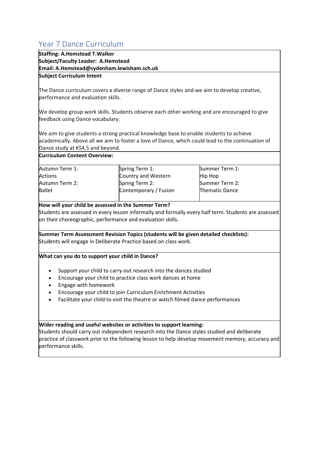## <span id="page-25-0"></span>Year 7 Dance Curriculum

| Tedi 7 Dance Curriculum                                                                           |                                                                               |                                                                                                      |  |
|---------------------------------------------------------------------------------------------------|-------------------------------------------------------------------------------|------------------------------------------------------------------------------------------------------|--|
| <b>Staffing: A.Hemstead T.Walker</b>                                                              |                                                                               |                                                                                                      |  |
| Subject/Faculty Leader: A.Hemstead                                                                |                                                                               |                                                                                                      |  |
| Email: A.Hemstead@sydenham.lewisham.sch.uk                                                        |                                                                               |                                                                                                      |  |
| <b>Subject Curriculum Intent</b>                                                                  |                                                                               |                                                                                                      |  |
|                                                                                                   |                                                                               |                                                                                                      |  |
| The Dance curriculum covers a diverse range of Dance styles and we aim to develop creative,       |                                                                               |                                                                                                      |  |
| performance and evaluation skills.                                                                |                                                                               |                                                                                                      |  |
| We develop group work skills. Students observe each other working and are encouraged to give      |                                                                               |                                                                                                      |  |
| feedback using Dance vocabulary.                                                                  |                                                                               |                                                                                                      |  |
|                                                                                                   |                                                                               |                                                                                                      |  |
| We aim to give students a strong practical knowledge base to enable students to achieve           |                                                                               |                                                                                                      |  |
| academically. Above all we aim to foster a love of Dance, which could lead to the continuation of |                                                                               |                                                                                                      |  |
| Dance study at KS4,5 and beyond.                                                                  |                                                                               |                                                                                                      |  |
| <b>Curriculum Content Overview:</b>                                                               |                                                                               |                                                                                                      |  |
|                                                                                                   |                                                                               |                                                                                                      |  |
| Autumn Term 1:                                                                                    | Spring Term 1:                                                                | Summer Term 1:                                                                                       |  |
| <b>Actions</b>                                                                                    | Country and Western                                                           | <b>Hip Hop</b>                                                                                       |  |
| Autumn Term 2:                                                                                    | Spring Term 2:                                                                | Summer Term 2:                                                                                       |  |
| <b>Ballet</b>                                                                                     | Contemporary / Fusion                                                         | Thematic Dance                                                                                       |  |
| How will your child be assessed in the Summer Term?                                               |                                                                               |                                                                                                      |  |
|                                                                                                   |                                                                               | Students are assessed in every lesson informally and formally every half term. Students are assessed |  |
| on their choreographic, performance and evaluation skills.                                        |                                                                               |                                                                                                      |  |
|                                                                                                   |                                                                               |                                                                                                      |  |
| Summer Term Assessment Revision Topics (students will be given detailed checklists):              |                                                                               |                                                                                                      |  |
| Students will engage in Deliberate Practice based on class work.                                  |                                                                               |                                                                                                      |  |
|                                                                                                   |                                                                               |                                                                                                      |  |
| What can you do to support your child in Dance?                                                   |                                                                               |                                                                                                      |  |
| $\bullet$                                                                                         | Support your child to carry out research into the dances studied              |                                                                                                      |  |
|                                                                                                   | Encourage your child to practice class work dances at home                    |                                                                                                      |  |
| Engage with homework                                                                              |                                                                               |                                                                                                      |  |
|                                                                                                   | Encourage your child to join Curriculum Enrichment Activities                 |                                                                                                      |  |
|                                                                                                   | Facilitate your child to visit the theatre or watch filmed dance performances |                                                                                                      |  |

#### **Wider reading and useful websites or activities to support learning:**

Students should carry out independent research into the Dance styles studied and deliberate practice of classwork prior to the following lesson to help develop movement memory, accuracy and performance skills.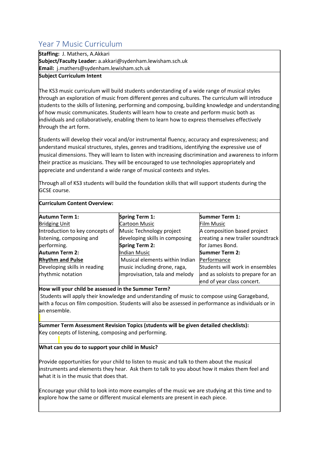## <span id="page-26-0"></span>Year 7 Music Curriculum

**Staffing:** J. Mathers, A.Akkari **Subject/Faculty Leader:** a.akkari@sydenham.lewisham.sch.uk **Email:** j.mathers@sydenham.lewisham.sch.uk

#### **Subject Curriculum Intent**

**Curriculum Content Overview:**

The KS3 music curriculum will build students understanding of a wide range of musical styles through an exploration of music from different genres and cultures. The curriculum will introduce students to the skills of listening, performing and composing, building knowledge and understanding of how music communicates. Students will learn how to create and perform music both as individuals and collaboratively, enabling them to learn how to express themselves effectively through the art form.

Students will develop their vocal and/or instrumental fluency, accuracy and expressiveness; and understand musical structures, styles, genres and traditions, identifying the expressive use of musical dimensions. They will learn to listen with increasing discrimination and awareness to inform their practice as musicians. They will be encouraged to use technologies appropriately and appreciate and understand a wide range of musical contexts and styles.

Through all of KS3 students will build the foundation skills that will support students during the GCSE course.

| <b>Autumn Term 1:</b>           | <b>Spring Term 1:</b>          | <b>Summer Term 1:</b>             |
|---------------------------------|--------------------------------|-----------------------------------|
| <b>Bridging Unit</b>            | <b>Cartoon Music</b>           | <b>Film Music</b>                 |
| Introduction to key concepts of | Music Technology project       | A composition based project       |
| listening, composing and        | developing skills in composing | creating a new trailer soundtrack |
| performing.                     | <b>Spring Term 2:</b>          | for James Bond.                   |
| <b>Autumn Term 2:</b>           | Indian Music                   | <b>Summer Term 2:</b>             |
| <b>Rhythm and Pulse</b>         | Musical elements within Indian | Performance                       |
| Developing skills in reading    | music including drone, raga,   | Students will work in ensembles   |
| rhythmic notation               | improvisation, tala and melody | and as soloists to prepare for an |
|                                 |                                | end of year class concert.        |

**How will your child be assessed in the Summer Term?**

Students will apply their knowledge and understanding of music to compose using Garageband, with a focus on film composition. Students will also be assessed in performance as individuals or in an ensemble.

**Summer Term Assessment Revision Topics (students will be given detailed checklists):** Key concepts of listening, composing and performing.

#### **What can you do to support your child in Music?**

Provide opportunities for your child to listen to music and talk to them about the musical instruments and elements they hear. Ask them to talk to you about how it makes them feel and what it is in the music that does that.

Encourage your child to look into more examples of the music we are studying at this time and to explore how the same or different musical elements are present in each piece.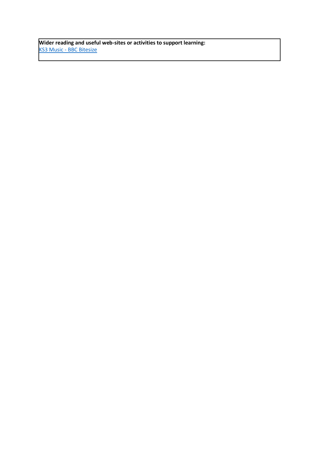**Wider reading and useful web-sites or activities to support learning:** KS3 Music - [BBC Bitesize](https://www.bbc.co.uk/bitesize/subjects/zmsvr82)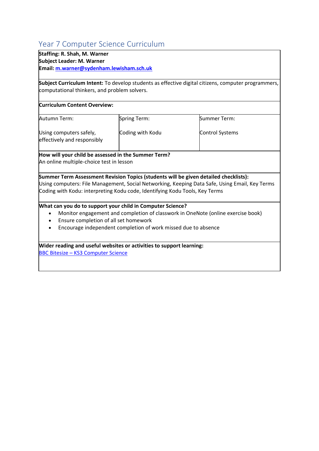## <span id="page-28-0"></span>Year 7 Computer Science Curriculum

### **Staffing: R. Shah, M. Warner**

**Subject Leader: M. Warner**

**Email[: m.warner@sydenham.lewisham.sch.uk](mailto:m.warner@sydenham.lewisham.sch.uk)**

**Subject Curriculum Intent:** To develop students as effective digital citizens, computer programmers, computational thinkers, and problem solvers.

#### **Curriculum Content Overview:**

| Autumn Term:                                           | Spring Term:     | Summer Term:           |
|--------------------------------------------------------|------------------|------------------------|
| Using computers safely,<br>effectively and responsibly | Coding with Kodu | <b>Control Systems</b> |

### **How will your child be assessed in the Summer Term?**

An online multiple-choice test in lesson

**Summer Term Assessment Revision Topics (students will be given detailed checklists):** Using computers: File Management, Social Networking, Keeping Data Safe, Using Email, Key Terms Coding with Kodu: interpreting Kodu code, Identifying Kodu Tools, Key Terms

#### **What can you do to support your child in Computer Science?**

- Monitor engagement and completion of classwork in OneNote (online exercise book)
- Ensure completion of all set homework
- Encourage independent completion of work missed due to absence

**Wider reading and useful websites or activities to support learning:** BBC Bitesize – [KS3 Computer Science](https://www.bbc.co.uk/bitesize/subjects/zvc9q6f)